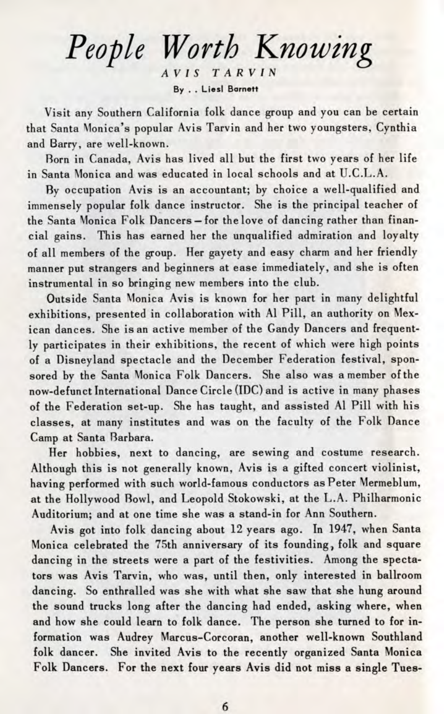*People Worth Knowing AVIS T A RV I N* **By . . Liesl Barnett**

Visit any Southern California folk dance group and you can be certain that Santa Monica's popular Avis Tarvin and her two youngsters, Cynthia and Barry, are well-known.

Born in Canada, Avis has lived all but the first two years of her life in Santa Monica and was educated in local schools and at U.C.L.A.

By occupation Avis is an accountant; by choice a well-qualified and immensely popular folk dance instructor. She is the principal teacher of the Santa Monica Folk Dancers - for the love of dancing rather than financial gains. This has earned her the unqualified admiration and loyalty of all members of the group. Her gayety and easy charm and her friendly manner put strangers and beginners at ease immediately, and she is often instrumental in so bringing new members into the club.

Outside Santa Monica Avis is known for her part in many delightful exhibitions, presented in collaboration with Al Pill, an authority on Mexican dances. She is an active member of the Gandy Dancers and frequently participates in their exhibitions, the recent of which were high points of a Disneyland spectacle and the December Federation festival, sponsored by the Santa Monica Folk Dancers. She also was a member of the now-defunct International Dance Circle (IDC) and is active in many phases of the Federation set-up. She has taught, and assisted Al Pill with his classes, at many institutes and was on the faculty of the Folk Dance Camp at Santa Barbara.

Her hobbies, next to dancing, are sewing and costume research. Although this is not generally known, Avis is a gifted concert violinist, having performed with such world-famous conductors as Peter Mermeblum, at the Hollywood Bowl, and Leopold Stokowski, at the L.A. Philharmonic Auditorium; and at one time she was a stand-in for Ann Southern.

Avis got into folk dancing about 12 years ago. In 1947, when Santa Monica celebrated the 75th anniversary of its founding, folk and square dancing in the streets were a part of the festivities. Among the spectators was Avis Tarvin, who was, until then, only interested in ballroom dancing. So enthralled was she with what she saw that she hung around the sound trucks long after the dancing had ended, asking where, when and how she could learn to folk dance. The person she turned to for information was Audrey Marcus-Corcoran, another well-known Southland folk dancer. She invited Avis to the recently organized Santa Monica Folk Dancers. For the next four years Avis did not miss a single Tues